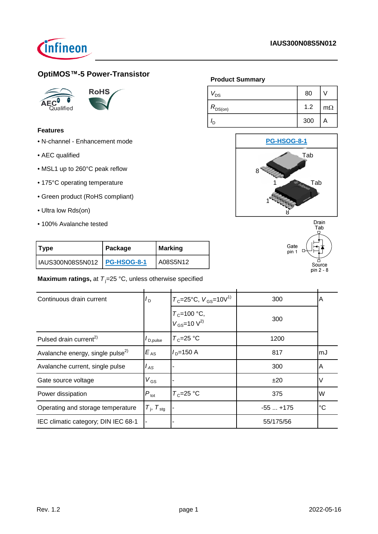

# **OptiMOS™-5 Power-Transistor**





### **Features**

- N-channel Enhancement mode
- AEC qualified
- MSL1 up to 260°C peak reflow
- 175°C operating temperature
- Green product (RoHS compliant)
- Ultra low Rds(on)
- 100% Avalanche tested

# **Product Summary**

| v <sub>DS</sub> | 80  |           |
|-----------------|-----|-----------|
| $R_{DS(on)}$    | 1.2 | $m\Omega$ |
| חי              | 300 | A         |





| Type                           | Package | Marking  |  |
|--------------------------------|---------|----------|--|
| IAUS300N08S5N012   PG-HSOG-8-1 |         | A08S5N12 |  |

**Maximum ratings, at T<sub>j</sub>=25 °C, unless otherwise specified** 

| Continuous drain current                     | $I_D$                           | $T_c$ =25°C, $V_{\text{GS}}$ =10V <sup>1)</sup>       | 300       | A           |
|----------------------------------------------|---------------------------------|-------------------------------------------------------|-----------|-------------|
|                                              |                                 | $T_c$ =100 °C,<br>V <sub>GS</sub> =10 V <sup>2)</sup> | 300       |             |
| Pulsed drain current <sup>2)</sup>           | $I_{\mathsf{D},\mathsf{pulse}}$ | $T_c = 25$ °C                                         | 1200      |             |
| Avalanche energy, single pulse <sup>2)</sup> | $E_{AS}$                        | $ID=150 A$                                            | 817       | mJ          |
| Avalanche current, single pulse              | l <sub>AS</sub>                 |                                                       | 300       | A           |
| Gate source voltage                          | $V_{GS}$                        |                                                       | ±20       | V           |
| Power dissipation                            | $P_{\text{tot}}$                | $T_c = 25$ °C                                         | 375       | W           |
| Operating and storage temperature            | $T_{\rm i}$ , $T_{\rm stg}$     |                                                       | $-55+175$ | $^{\circ}C$ |
| IEC climatic category; DIN IEC 68-1          |                                 |                                                       | 55/175/56 |             |
|                                              |                                 |                                                       |           |             |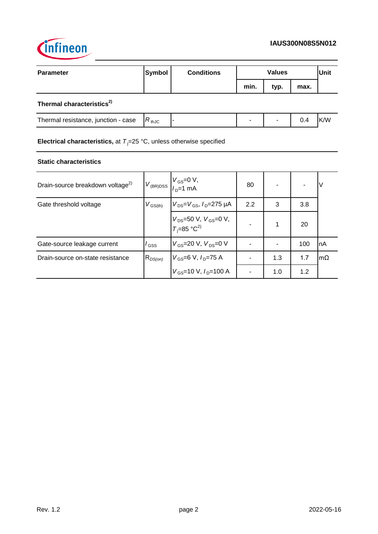

| <b>Parameter</b>                      | Symbol     | <b>Conditions</b> | <b>Values</b> |      |      | <b>Unit</b> |
|---------------------------------------|------------|-------------------|---------------|------|------|-------------|
|                                       |            |                   | min.          | typ. | max. |             |
| Thermal characteristics <sup>2)</sup> |            |                   |               |      |      |             |
| Thermal resistance, junction - case   | $R_{thJC}$ | ٠                 | ٠             |      | 0.4  | K/W         |

**Electrical characteristics,** at  $T_j = 25 \text{ °C}$ , unless otherwise specified

### **Static characteristics**

| Drain-source breakdown voltage <sup>2)</sup> |                  | $V_{\text{(BR)DSS}}$ $\begin{bmatrix} V_{\text{GS}} = 0 & V, \\ I_{\text{D}} = 1 & mA \end{bmatrix}$ | 80  |     |     |           |
|----------------------------------------------|------------------|------------------------------------------------------------------------------------------------------|-----|-----|-----|-----------|
| Gate threshold voltage                       | $V_{\rm GS(th)}$ | $V_{DS} = V_{GS}$ , $I_{D} = 275 \mu A$                                                              | 2.2 | 3   | 3.8 |           |
|                                              |                  | $V_{DS}$ =50 V, $V_{GS}$ =0 V,<br>$T_i$ =85 °C <sup>2)</sup>                                         |     | 1   | 20  |           |
| Gate-source leakage current                  | l <sub>GSS</sub> | $V_{GS}$ =20 V, $V_{DS}$ =0 V                                                                        |     |     | 100 | nA        |
| Drain-source on-state resistance             | $R_{DS(on)}$     | $V_{GS}$ =6 V, $I_{D}$ =75 A                                                                         |     | 1.3 | 1.7 | $m\Omega$ |
|                                              |                  | $V_{GS}$ =10 V, $I_{D}$ =100 A                                                                       |     | 1.0 | 1.2 |           |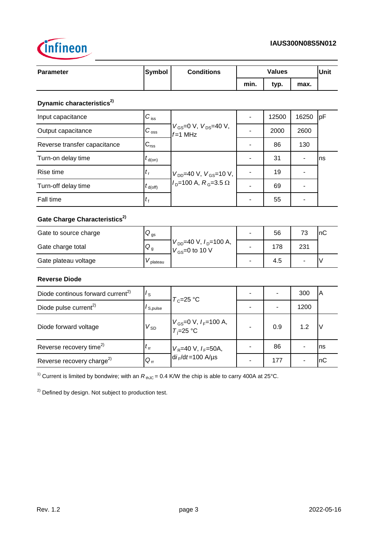

| <b>Parameter</b>                                                                                                   | <b>Symbol</b>        | <b>Conditions</b>                                    |                          | <b>Values</b> |                          | Unit   |
|--------------------------------------------------------------------------------------------------------------------|----------------------|------------------------------------------------------|--------------------------|---------------|--------------------------|--------|
|                                                                                                                    |                      |                                                      | min.                     | typ.          | max.                     |        |
| Dynamic characteristics <sup>2)</sup>                                                                              |                      |                                                      |                          |               |                          |        |
| Input capacitance                                                                                                  | $C_{\,\mathrm{iss}}$ |                                                      | $\overline{a}$           | 12500         | 16250                    | pF     |
| Output capacitance                                                                                                 | $C_{\rm \,oss}$      | $V_{GS}$ =0 V, $V_{DS}$ =40 V,<br>$f=1$ MHz          |                          | 2000          | 2600                     |        |
| Reverse transfer capacitance                                                                                       | $C_{\rm rss}$        |                                                      |                          | 86            | 130                      |        |
| Turn-on delay time                                                                                                 | $t_{\text{d}(on)}$   |                                                      |                          | 31            | $\blacksquare$           | ns     |
| Rise time                                                                                                          | $t_{\rm r}$          | $V_{DD}$ =40 V, $V_{GS}$ =10 V,                      |                          | 19            | $\overline{\phantom{0}}$ |        |
| Turn-off delay time                                                                                                | $t_{d(\text{off})}$  | $ID=100$ A, $RG=3.5$ $\Omega$                        | $\overline{a}$           | 69            | $\blacksquare$           |        |
| Fall time                                                                                                          | $t_{\rm f}$          |                                                      | $\overline{\phantom{a}}$ | 55            | $\blacksquare$           |        |
| Gate Charge Characteristics <sup>2)</sup>                                                                          |                      |                                                      |                          |               |                          |        |
| Gate to source charge                                                                                              | $Q_{\rm gs}$         | $V_{DD}$ =40 V, $I_D$ =100 A,<br>$V_{GS}$ =0 to 10 V | L.                       | 56            | 73                       | nC     |
| Gate charge total                                                                                                  | $Q_g$                |                                                      |                          | 178           | 231                      |        |
| Gate plateau voltage                                                                                               | $V_{\rm plateau}$    |                                                      | $\overline{\phantom{0}}$ | 4.5           | $\overline{\phantom{0}}$ | $\vee$ |
| <b>Reverse Diode</b>                                                                                               |                      |                                                      |                          |               |                          |        |
| Diode continous forward current <sup>2)</sup>                                                                      | $I_{\rm S}$          | $T_c = 25$ °C                                        |                          | ÷,            | 300                      | A      |
| Diode pulse current <sup>2)</sup>                                                                                  | $I_{S, pulse}$       |                                                      |                          |               | 1200                     |        |
| Diode forward voltage                                                                                              | $V_{SD}$             | $V_{GS}$ =0 V, $I_F$ =100 A,<br>$T_i = 25$ °C        |                          | 0.9           | 1.2                      | V      |
| Reverse recovery time <sup>2)</sup>                                                                                | $t_{\rm rr}$         | $V_R$ =40 V, $I_F$ =50A,                             | $\blacksquare$           | 86            | $\blacksquare$           | ns     |
| Reverse recovery charge <sup>2)</sup>                                                                              | $Q_{\rm rr}$         | $di_F/dt = 100$ A/µs                                 | $\overline{a}$           | 177           | $\blacksquare$           | nC     |
| <sup>1)</sup> Current is limited by bondwire; with an $R_{thJC}$ = 0.4 K/W the chip is able to carry 400A at 25°C. |                      |                                                      |                          |               |                          |        |

<sup>2)</sup> Defined by design. Not subject to production test.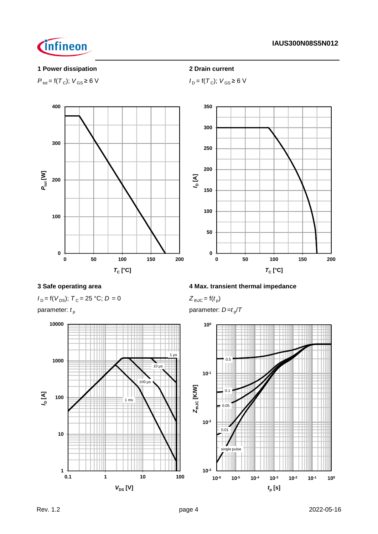# **1 Power dissipation 2 Drain current**

Cinfineon

 $P_{\text{tot}} = f(T_C); V_{\text{GS}} \ge 6 \text{ V}$  *I*<sub>D</sub> =  $f(T_C); V_{\text{GS}} \ge 6 \text{ V}$ 



 $I_D = f(V_{DS})$ ;  $T_C = 25 °C$ ;  $D = 0$ 



# **3 Safe operating area 4 Max. transient thermal impedance**

 $Z_{thJC} = f(t_p)$ 

parameter:  $t_{\rm p}$  **parameter:**  $D = t_{\rm p}/T$ 

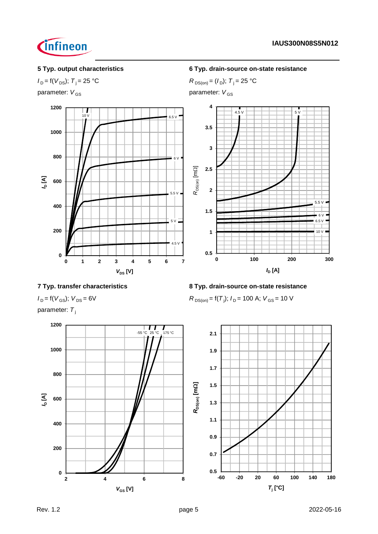

# $I_D = f(V_{DS})$ ;  $T_i = 25 \text{ °C}$  *R*  $D_{DS(on)} = (I_D)$ ;  $T_i = 25 \text{ °C}$

parameter:  $V_{GS}$  parameter:  $V_{GS}$ 



# **5 Typ. output characteristics 6 Typ. drain-source on-state resistance**



 $R_{DS(on)}$  = f(T<sub>j</sub>);  $I_D$  = 100 A;  $V_{GS}$  = 10 V

# **7 Typ. transfer characteristics 8 Typ. drain-source on-state resistance**

 $I_D = f(V_{GS})$ ;  $V_{DS} = 6V$ 

parameter: T<sub>j</sub>

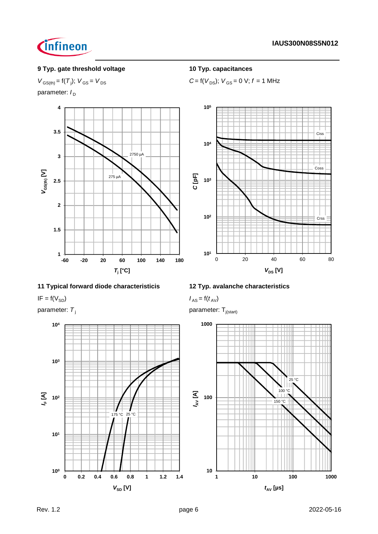

# **9 Typ. gate threshold voltage 10 Typ. capacitances**

 $V_{GS(th)} = f(T_i)$ ;  $V_{GS} = V_{DS}$ 

parameter:  $I_D$ 



# **11 Typical forward diode characteristicis 12 Typ. avalanche characteristics**

 $I_{AS} = f(V_{SD})$  *I<sub>AS</sub>* =  $f(t_{AV})$ 



 $C = f(V_{DS})$ ;  $V_{GS} = 0$  V;  $f = 1$  MHz



parameter:  $T_j$  parameter:  $T_{j(\text{start})}$ 

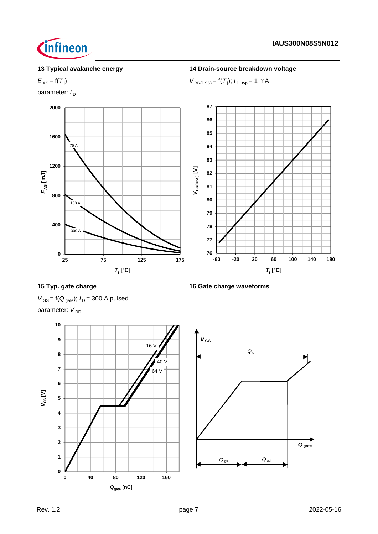

# **13 Typical avalanche energy 14 Drain-source breakdown voltage**

### $E_{AS} = f(T_i)$ )  $V_{BR(DSS)} = f(T_j); I_{D_typ} = 1 \text{ mA}$

parameter:  $I_D$ 



# **15 Typ. gate charge 16 Gate charge waveforms**

 $V_{GS}$  = f( $Q_{gate}$ );  $I_D$  = 300 A pulsed

parameter: V<sub>DD</sub>

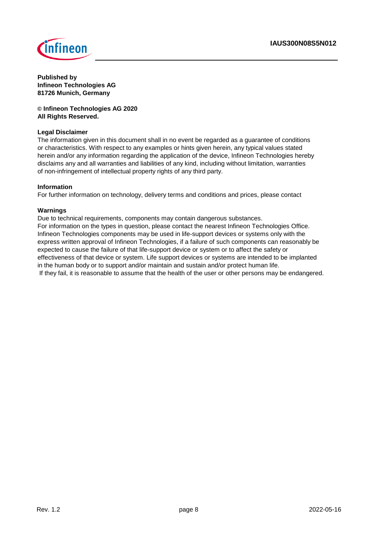

**Published by Infineon Technologies AG 81726 Munich, Germany**

**© Infineon Technologies AG 2020 All Rights Reserved.**

### **Legal Disclaimer**

The information given in this document shall in no event be regarded as a guarantee of conditions or characteristics. With respect to any examples or hints given herein, any typical values stated herein and/or any information regarding the application of the device, Infineon Technologies hereby disclaims any and all warranties and liabilities of any kind, including without limitation, warranties of non-infringement of intellectual property rights of any third party.

### **Information**

For further information on technology, delivery terms and conditions and prices, please contact

### **Warnings**

Due to technical requirements, components may contain dangerous substances. For information on the types in question, please contact the nearest Infineon Technologies Office. Infineon Technologies components may be used in life-support devices or systems only with the express written approval of Infineon Technologies, if a failure of such components can reasonably be expected to cause the failure of that life-support device or system or to affect the safety or effectiveness of that device or system. Life support devices or systems are intended to be implanted in the human body or to support and/or maintain and sustain and/or protect human life. If they fail, it is reasonable to assume that the health of the user or other persons may be endangered.